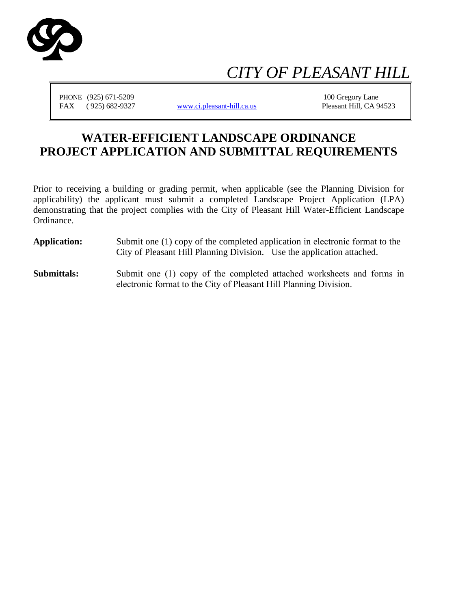

# *CITY OF PLEASANT HILL*

PHONE (925) 671-5209 100 Gregory Lane FAX (925) 682-9327 [www.ci.pleasant-hill.ca.us](http://www.ci.pleasant-hill.ca.us/) Pleasant Hill, CA 94523

## **WATER-EFFICIENT LANDSCAPE ORDINANCE PROJECT APPLICATION AND SUBMITTAL REQUIREMENTS**

Prior to receiving a building or grading permit, when applicable (see the Planning Division for applicability) the applicant must submit a completed Landscape Project Application (LPA) demonstrating that the project complies with the City of Pleasant Hill Water-Efficient Landscape Ordinance.

- **Application:** Submit one (1) copy of the completed application in electronic format to the City of Pleasant Hill Planning Division. Use the application attached.
- **Submittals:** Submit one (1) copy of the completed attached worksheets and forms in electronic format to the City of Pleasant Hill Planning Division.

Please note that a deposit will be required to cover the costs of the peer review that will occur to verify compliance with the City water efficient landscape provisions. Please contact a planner for additional information.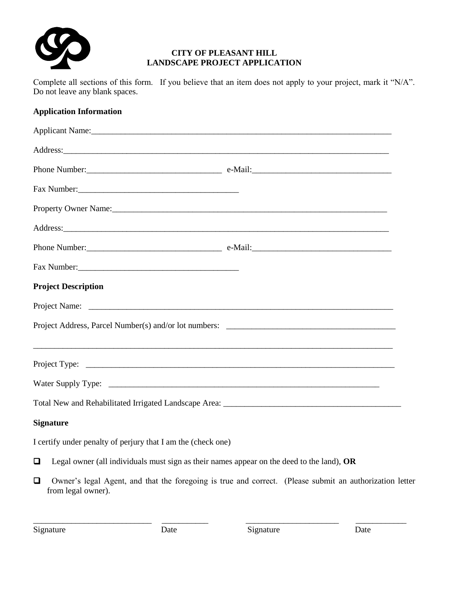

## **CITY OF PLEASANT HILL LANDSCAPE PROJECT APPLICATION**

Complete all sections of this form. If you believe that an item does not apply to your project, mark it "N/A". Do not leave any blank spaces.

## **Application Information**

|        | Address: Andreas Address: Address: Address: Address: Address: Address: Address: Address: Address: Address: Address: Address: Address: Address: Address: Address: Address: Address: Address: Address: Address: Address: Address |  |
|--------|--------------------------------------------------------------------------------------------------------------------------------------------------------------------------------------------------------------------------------|--|
|        |                                                                                                                                                                                                                                |  |
|        |                                                                                                                                                                                                                                |  |
|        | <b>Project Description</b>                                                                                                                                                                                                     |  |
|        |                                                                                                                                                                                                                                |  |
|        |                                                                                                                                                                                                                                |  |
|        | Project Type: $\sqrt{ }$                                                                                                                                                                                                       |  |
|        |                                                                                                                                                                                                                                |  |
|        |                                                                                                                                                                                                                                |  |
|        | <b>Signature</b>                                                                                                                                                                                                               |  |
|        | I certify under penalty of perjury that I am the (check one)                                                                                                                                                                   |  |
| Q      | Legal owner (all individuals must sign as their names appear on the deed to the land), OR                                                                                                                                      |  |
| $\Box$ | Owner's legal Agent, and that the foregoing is true and correct. (Please submit an authorization letter<br>from legal owner).                                                                                                  |  |

\_\_\_\_\_\_\_\_\_\_\_\_\_\_\_\_\_\_\_\_\_\_\_\_\_\_\_\_ \_\_\_\_\_\_\_\_\_\_\_ \_\_\_\_\_\_\_\_\_\_\_\_\_\_\_\_\_\_\_\_\_\_ \_\_\_\_\_\_\_\_\_\_\_\_

Signature Date Date Signature Date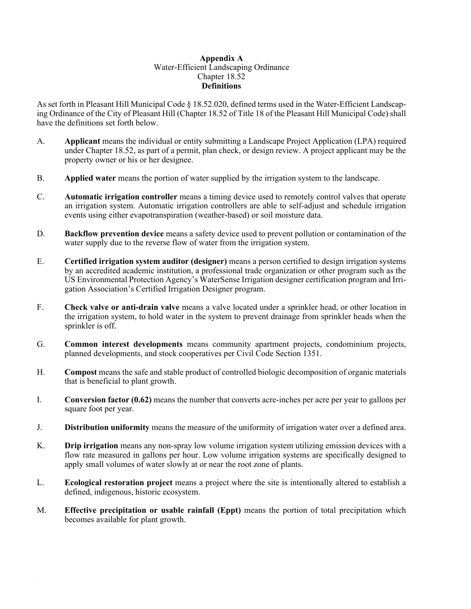#### **Appendix A** Water-Efficient Landscaping Ordinance Chapter 18.52 **Definitions**

As set forth in Pleasant Hill Municipal Code § 18.52.020, defined terms used in the Water-Efficient Landscaping Ordinance of the City of Pleasant Hill (Chapter 18.52 of Title 18 of the Pleasant Hill Municipal Code) shall have the definitions set forth below.

- A. **Applicant** means the individual or entity submitting a Landscape Project Application (LPA) required under Chapter 18.52, as part of a permit, plan check, or design review. A project applicant may be the property owner or his or her designee.
- B. **Applied water** means the portion of water supplied by the irrigation system to the landscape.
- C. **Automatic irrigation controller** means a timing device used to remotely control valves that operate an irrigation system. Automatic irrigation controllers are able to self-adjust and schedule irrigation events using either evapotranspiration (weather-based) or soil moisture data.
- D. **Backflow prevention device** means a safety device used to prevent pollution or contamination of the water supply due to the reverse flow of water from the irrigation system.
- E. **Certified irrigation system auditor (designer)** means a person certified to design irrigation systems by an accredited academic institution, a professional trade organization or other program such as the US Environmental Protection Agency's WaterSense Irrigation designer certification program and Irrigation Association's Certified Irrigation Designer program.
- F. **Check valve or anti-drain valve** means a valve located under a sprinkler head, or other location in the irrigation system, to hold water in the system to prevent drainage from sprinkler heads when the sprinkler is off.
- G. **Common interest developments** means community apartment projects, condominium projects, planned developments, and stock cooperatives per Civil Code Section 1351.
- H. **Compost** means the safe and stable product of controlled biologic decomposition of organic materials that is beneficial to plant growth.
- I. **Conversion factor (0.62)** means the number that converts acre-inches per acre per year to gallons per square foot per year.
- J. **Distribution uniformity** means the measure of the uniformity of irrigation water over a defined area.
- K. **Drip irrigation** means any non-spray low volume irrigation system utilizing emission devices with a flow rate measured in gallons per hour. Low volume irrigation systems are specifically designed to apply small volumes of water slowly at or near the root zone of plants.
- L. **Ecological restoration project** means a project where the site is intentionally altered to establish a defined, indigenous, historic ecosystem.
- M. **Effective precipitation or usable rainfall (Eppt)** means the portion of total precipitation which becomes available for plant growth.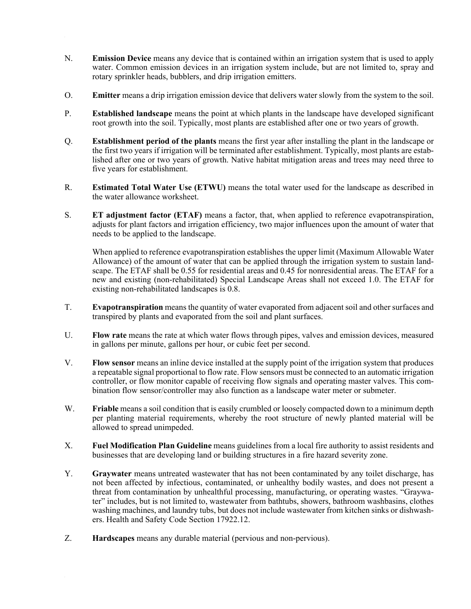- N. **Emission Device** means any device that is contained within an irrigation system that is used to apply water. Common emission devices in an irrigation system include, but are not limited to, spray and rotary sprinkler heads, bubblers, and drip irrigation emitters.
- O. **Emitter** means a drip irrigation emission device that delivers water slowly from the system to the soil.
- P. **Established landscape** means the point at which plants in the landscape have developed significant root growth into the soil. Typically, most plants are established after one or two years of growth.
- Q. **Establishment period of the plants** means the first year after installing the plant in the landscape or the first two years if irrigation will be terminated after establishment. Typically, most plants are established after one or two years of growth. Native habitat mitigation areas and trees may need three to five years for establishment.
- R. **Estimated Total Water Use (ETWU)** means the total water used for the landscape as described in the water allowance worksheet.
- S. **ET adjustment factor (ETAF)** means a factor, that, when applied to reference evapotranspiration, adjusts for plant factors and irrigation efficiency, two major influences upon the amount of water that needs to be applied to the landscape.

When applied to reference evapotranspiration establishes the upper limit (Maximum Allowable Water Allowance) of the amount of water that can be applied through the irrigation system to sustain landscape. The ETAF shall be 0.55 for residential areas and 0.45 for nonresidential areas. The ETAF for a new and existing (non-rehabilitated) Special Landscape Areas shall not exceed 1.0. The ETAF for existing non-rehabilitated landscapes is 0.8.

- T. **Evapotranspiration** means the quantity of water evaporated from adjacent soil and other surfaces and transpired by plants and evaporated from the soil and plant surfaces.
- U. **Flow rate** means the rate at which water flows through pipes, valves and emission devices, measured in gallons per minute, gallons per hour, or cubic feet per second.
- V. **Flow sensor** means an inline device installed at the supply point of the irrigation system that produces a repeatable signal proportional to flow rate. Flow sensors must be connected to an automatic irrigation controller, or flow monitor capable of receiving flow signals and operating master valves. This combination flow sensor/controller may also function as a landscape water meter or submeter.
- W. **Friable** means a soil condition that is easily crumbled or loosely compacted down to a minimum depth per planting material requirements, whereby the root structure of newly planted material will be allowed to spread unimpeded.
- X. **Fuel Modification Plan Guideline** means guidelines from a local fire authority to assist residents and businesses that are developing land or building structures in a fire hazard severity zone.
- Y. **Graywater** means untreated wastewater that has not been contaminated by any toilet discharge, has not been affected by infectious, contaminated, or unhealthy bodily wastes, and does not present a threat from contamination by unhealthful processing, manufacturing, or operating wastes. "Graywater" includes, but is not limited to, wastewater from bathtubs, showers, bathroom washbasins, clothes washing machines, and laundry tubs, but does not include wastewater from kitchen sinks or dishwashers. Health and Safety Code Section 17922.12.
- Z. **Hardscapes** means any durable material (pervious and non-pervious).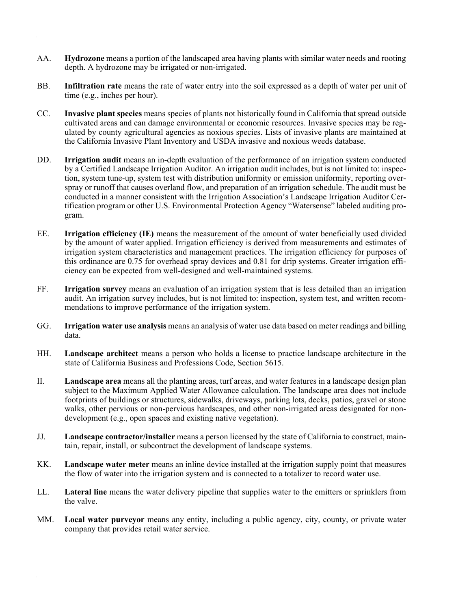- AA. **Hydrozone** means a portion of the landscaped area having plants with similar water needs and rooting depth. A hydrozone may be irrigated or non-irrigated.
- BB. **Infiltration rate** means the rate of water entry into the soil expressed as a depth of water per unit of time (e.g., inches per hour).
- CC. **Invasive plant species** means species of plants not historically found in California that spread outside cultivated areas and can damage environmental or economic resources. Invasive species may be regulated by county agricultural agencies as noxious species. Lists of invasive plants are maintained at the California Invasive Plant Inventory and USDA invasive and noxious weeds database.
- DD. **Irrigation audit** means an in-depth evaluation of the performance of an irrigation system conducted by a Certified Landscape Irrigation Auditor. An irrigation audit includes, but is not limited to: inspection, system tune-up, system test with distribution uniformity or emission uniformity, reporting overspray or runoff that causes overland flow, and preparation of an irrigation schedule. The audit must be conducted in a manner consistent with the Irrigation Association's Landscape Irrigation Auditor Certification program or other U.S. Environmental Protection Agency "Watersense" labeled auditing program.
- EE. **Irrigation efficiency (IE)** means the measurement of the amount of water beneficially used divided by the amount of water applied. Irrigation efficiency is derived from measurements and estimates of irrigation system characteristics and management practices. The irrigation efficiency for purposes of this ordinance are 0.75 for overhead spray devices and 0.81 for drip systems. Greater irrigation efficiency can be expected from well-designed and well-maintained systems.
- FF. **Irrigation survey** means an evaluation of an irrigation system that is less detailed than an irrigation audit. An irrigation survey includes, but is not limited to: inspection, system test, and written recommendations to improve performance of the irrigation system.
- GG. **Irrigation water use analysis** means an analysis of water use data based on meter readings and billing data.
- HH. **Landscape architect** means a person who holds a license to practice landscape architecture in the state of California Business and Professions Code, Section 5615.
- II. **Landscape area** means all the planting areas, turf areas, and water features in a landscape design plan subject to the Maximum Applied Water Allowance calculation. The landscape area does not include footprints of buildings or structures, sidewalks, driveways, parking lots, decks, patios, gravel or stone walks, other pervious or non-pervious hardscapes, and other non-irrigated areas designated for nondevelopment (e.g., open spaces and existing native vegetation).
- JJ. **Landscape contractor/installer** means a person licensed by the state of California to construct, maintain, repair, install, or subcontract the development of landscape systems.
- KK. **Landscape water meter** means an inline device installed at the irrigation supply point that measures the flow of water into the irrigation system and is connected to a totalizer to record water use.
- LL. **Lateral line** means the water delivery pipeline that supplies water to the emitters or sprinklers from the valve.
- MM. **Local water purveyor** means any entity, including a public agency, city, county, or private water company that provides retail water service.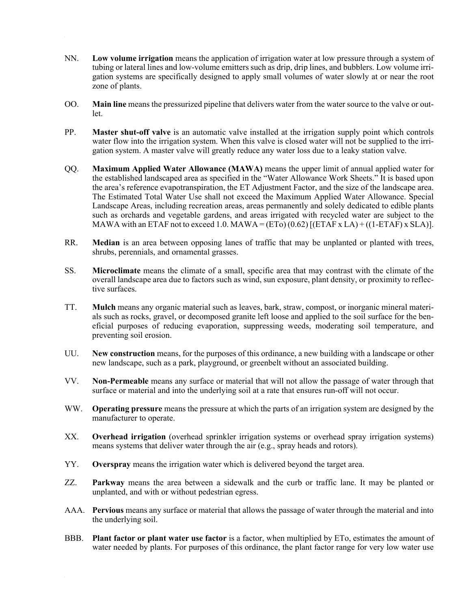- NN. **Low volume irrigation** means the application of irrigation water at low pressure through a system of tubing or lateral lines and low-volume emitters such as drip, drip lines, and bubblers. Low volume irrigation systems are specifically designed to apply small volumes of water slowly at or near the root zone of plants.
- OO. **Main line** means the pressurized pipeline that delivers water from the water source to the valve or outlet.
- PP. **Master shut-off valve** is an automatic valve installed at the irrigation supply point which controls water flow into the irrigation system. When this valve is closed water will not be supplied to the irrigation system. A master valve will greatly reduce any water loss due to a leaky station valve.
- QQ. **Maximum Applied Water Allowance (MAWA)** means the upper limit of annual applied water for the established landscaped area as specified in the "Water Allowance Work Sheets." It is based upon the area's reference evapotranspiration, the ET Adjustment Factor, and the size of the landscape area. The Estimated Total Water Use shall not exceed the Maximum Applied Water Allowance. Special Landscape Areas, including recreation areas, areas permanently and solely dedicated to edible plants such as orchards and vegetable gardens, and areas irrigated with recycled water are subject to the MAWA with an ETAF not to exceed 1.0. MAWA =  $(ET<sub>0</sub>)$  (0.62)  $[(ETAF x LA) + ((1-ETAF) x SLA)].$
- RR. **Median** is an area between opposing lanes of traffic that may be unplanted or planted with trees, shrubs, perennials, and ornamental grasses.
- SS. **Microclimate** means the climate of a small, specific area that may contrast with the climate of the overall landscape area due to factors such as wind, sun exposure, plant density, or proximity to reflective surfaces.
- TT. **Mulch** means any organic material such as leaves, bark, straw, compost, or inorganic mineral materials such as rocks, gravel, or decomposed granite left loose and applied to the soil surface for the beneficial purposes of reducing evaporation, suppressing weeds, moderating soil temperature, and preventing soil erosion.
- UU. **New construction** means, for the purposes of this ordinance, a new building with a landscape or other new landscape, such as a park, playground, or greenbelt without an associated building.
- VV. **Non-Permeable** means any surface or material that will not allow the passage of water through that surface or material and into the underlying soil at a rate that ensures run-off will not occur.
- WW. **Operating pressure** means the pressure at which the parts of an irrigation system are designed by the manufacturer to operate.
- XX. **Overhead irrigation** (overhead sprinkler irrigation systems or overhead spray irrigation systems) means systems that deliver water through the air (e.g., spray heads and rotors).
- YY. **Overspray** means the irrigation water which is delivered beyond the target area.
- ZZ. **Parkway** means the area between a sidewalk and the curb or traffic lane. It may be planted or unplanted, and with or without pedestrian egress.
- AAA. **Pervious** means any surface or material that allows the passage of water through the material and into the underlying soil.
- BBB. **Plant factor or plant water use factor** is a factor, when multiplied by ETo, estimates the amount of water needed by plants. For purposes of this ordinance, the plant factor range for very low water use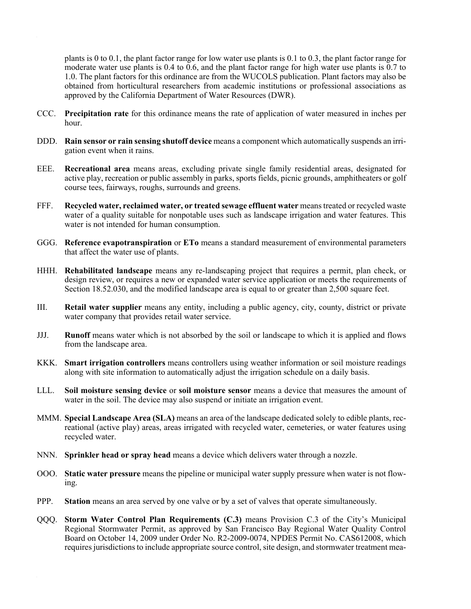plants is 0 to 0.1, the plant factor range for low water use plants is 0.1 to 0.3, the plant factor range for moderate water use plants is 0.4 to 0.6, and the plant factor range for high water use plants is 0.7 to 1.0. The plant factors for this ordinance are from the WUCOLS publication. Plant factors may also be obtained from horticultural researchers from academic institutions or professional associations as approved by the California Department of Water Resources (DWR).

- CCC. **Precipitation rate** for this ordinance means the rate of application of water measured in inches per hour.
- DDD. **Rain sensor or rain sensing shutoff device** means a component which automatically suspends an irrigation event when it rains.
- EEE. **Recreational area** means areas, excluding private single family residential areas, designated for active play, recreation or public assembly in parks, sports fields, picnic grounds, amphitheaters or golf course tees, fairways, roughs, surrounds and greens.
- FFF. **Recycled water, reclaimed water, or treated sewage effluent water** means treated or recycled waste water of a quality suitable for nonpotable uses such as landscape irrigation and water features. This water is not intended for human consumption.
- GGG. **Reference evapotranspiration** or **ETo** means a standard measurement of environmental parameters that affect the water use of plants.
- HHH. **Rehabilitated landscape** means any re-landscaping project that requires a permit, plan check, or design review, or requires a new or expanded water service application or meets the requirements of Section 18.52.030, and the modified landscape area is equal to or greater than 2,500 square feet.
- III. **Retail water supplier** means any entity, including a public agency, city, county, district or private water company that provides retail water service.
- JJJ. **Runoff** means water which is not absorbed by the soil or landscape to which it is applied and flows from the landscape area.
- KKK. **Smart irrigation controllers** means controllers using weather information or soil moisture readings along with site information to automatically adjust the irrigation schedule on a daily basis.
- LLL. **Soil moisture sensing device** or **soil moisture sensor** means a device that measures the amount of water in the soil. The device may also suspend or initiate an irrigation event.
- MMM. **Special Landscape Area (SLA)** means an area of the landscape dedicated solely to edible plants, recreational (active play) areas, areas irrigated with recycled water, cemeteries, or water features using recycled water.
- NNN. **Sprinkler head or spray head** means a device which delivers water through a nozzle.
- OOO. **Static water pressure** means the pipeline or municipal water supply pressure when water is not flowing.
- PPP. **Station** means an area served by one valve or by a set of valves that operate simultaneously.
- QQQ. **Storm Water Control Plan Requirements (C.3)** means Provision C.3 of the City's Municipal Regional Stormwater Permit, as approved by San Francisco Bay Regional Water Quality Control Board on October 14, 2009 under Order No. R2-2009-0074, NPDES Permit No. CAS612008, which requires jurisdictions to include appropriate source control, site design, and stormwater treatment mea-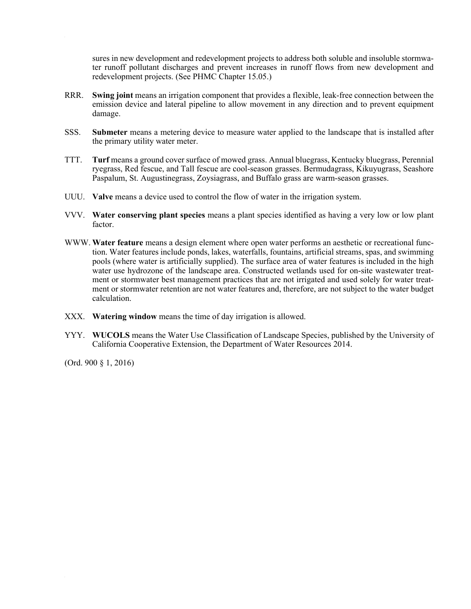sures in new development and redevelopment projects to address both soluble and insoluble stormwater runoff pollutant discharges and prevent increases in runoff flows from new development and redevelopment projects. (See PHMC Chapter 15.05.)

- RRR. **Swing joint** means an irrigation component that provides a flexible, leak-free connection between the emission device and lateral pipeline to allow movement in any direction and to prevent equipment damage.
- SSS. **Submeter** means a metering device to measure water applied to the landscape that is installed after the primary utility water meter.
- TTT. **Turf** means a ground cover surface of mowed grass. Annual bluegrass, Kentucky bluegrass, Perennial ryegrass, Red fescue, and Tall fescue are cool-season grasses. Bermudagrass, Kikuyugrass, Seashore Paspalum, St. Augustinegrass, Zoysiagrass, and Buffalo grass are warm-season grasses.
- UUU. **Valve** means a device used to control the flow of water in the irrigation system.
- VVV. **Water conserving plant species** means a plant species identified as having a very low or low plant factor.
- WWW. **Water feature** means a design element where open water performs an aesthetic or recreational function. Water features include ponds, lakes, waterfalls, fountains, artificial streams, spas, and swimming pools (where water is artificially supplied). The surface area of water features is included in the high water use hydrozone of the landscape area. Constructed wetlands used for on-site wastewater treatment or stormwater best management practices that are not irrigated and used solely for water treatment or stormwater retention are not water features and, therefore, are not subject to the water budget calculation.
- XXX. **Watering window** means the time of day irrigation is allowed.
- YYY. **WUCOLS** means the Water Use Classification of Landscape Species, published by the University of California Cooperative Extension, the Department of Water Resources 2014.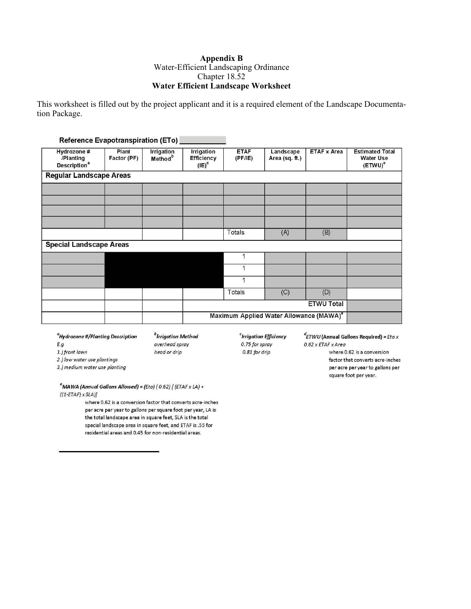#### **Appendix B** Water-Efficient Landscaping Ordinance Chapter 18.52 **Water Efficient Landscape Worksheet**

This worksheet is filled out by the project applicant and it is a required element of the Landscape Documentation Package.

|                                                             | Reference Evapotranspiration (ETo) |                                   |                                             |                       |                             |                    |                                                                     |
|-------------------------------------------------------------|------------------------------------|-----------------------------------|---------------------------------------------|-----------------------|-----------------------------|--------------------|---------------------------------------------------------------------|
| Hydrozone #<br>/Planting<br><b>Description</b> <sup>a</sup> | Plant<br>Factor (PF)               | Irrigation<br>Method <sup>b</sup> | Irrigation<br><b>Efficiency</b><br>$(IE)^c$ | <b>ETAF</b><br>(PF/E) | Landscape<br>Area (sq. ft.) | <b>ETAF x Area</b> | <b>Estimated Total</b><br><b>Water Use</b><br>$(ETWU)$ <sup>e</sup> |
| <b>Regular Landscape Areas</b>                              |                                    |                                   |                                             |                       |                             |                    |                                                                     |
|                                                             |                                    |                                   |                                             |                       |                             |                    |                                                                     |
|                                                             |                                    |                                   |                                             |                       |                             |                    |                                                                     |
|                                                             |                                    |                                   |                                             |                       |                             |                    |                                                                     |
|                                                             |                                    |                                   |                                             | Totals                | (A)                         | (B)                |                                                                     |
| <b>Special Landscape Areas</b>                              |                                    |                                   |                                             |                       |                             |                    |                                                                     |
|                                                             |                                    |                                   |                                             |                       |                             |                    |                                                                     |
|                                                             |                                    |                                   |                                             |                       |                             |                    |                                                                     |
|                                                             |                                    |                                   |                                             |                       |                             |                    |                                                                     |
|                                                             |                                    |                                   |                                             | Totals                | (C)                         | (D)                |                                                                     |
|                                                             |                                    |                                   | <b>ETWU Total</b>                           |                       |                             |                    |                                                                     |
| Maximum Applied Water Allowance (MAWA) <sup>e</sup>         |                                    |                                   |                                             |                       |                             |                    |                                                                     |

<sup>a</sup>Hydrozone #/Planting Description  $E.g$ 1.) front lawn

 $^b$ Irrigation Method overhead spray head or drip

 $\degree$ Irrigation Efficiency 0.75 for spray  $0.81$  for drip

 ${}^d$ ETWU (Annual Gallons Required) = Eto x  $0.62 \times$  ETAF  $\times$  Area

where 0.62 is a conversion factor that converts acre-inches per acre per year to gallons per square foot per year.

2.) low water use plantings

3.) medium water use planting

 $e^$ MAWA (Annual Gallons Allowed) = (Eto) (0.62) [(ETAF x LA) +  $((1-ETAF) \times SLA)]$ 

> where 0.62 is a conversion factor that converts acre-inches per acre per year to gallons per square foot per year, LA is the total landscape area in square feet, SLA is the total special landscape area in square feet, and ETAF is .55 for residential areas and 0.45 for non-residential areas.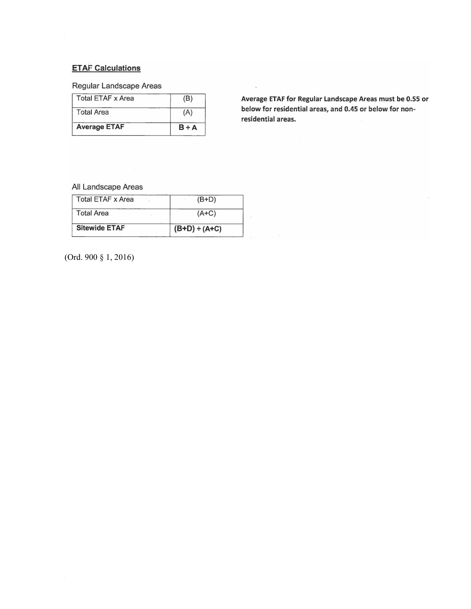## **ETAF Calculations**

 $\hat{\boldsymbol{\theta}}$ 

## Regular Landscape Areas

| <b>Average ETAF</b> | $B + A$ |
|---------------------|---------|
| <b>Total Area</b>   | (A)     |
| Total ETAF x Area   | (B)     |

Average ETAF for Regular Landscape Areas must be 0.55 or below for residential areas, and 0.45 or below for nonresidential areas.

 $\bar{\mathbf{r}}$ 

#### All Landscape Areas

| <b>Total ETAF x Area</b> | $(B+D)$            |
|--------------------------|--------------------|
| <b>Total Area</b>        | $(A+C)$            |
| <b>Sitewide ETAF</b>     | $(B+D) \div (A+C)$ |

(Ord. 900 § 1, 2016)

 $\hat{\boldsymbol{\theta}}$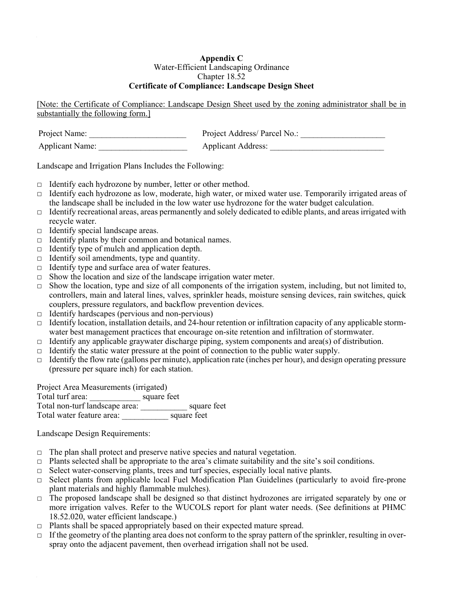#### **Appendix C** Water-Efficient Landscaping Ordinance Chapter 18.52 **Certificate of Compliance: Landscape Design Sheet**

[Note: the Certificate of Compliance: Landscape Design Sheet used by the zoning administrator shall be in substantially the following form.]

| Project Name:          | Project Address/ Parcel No.: |
|------------------------|------------------------------|
| <b>Applicant Name:</b> | <b>Applicant Address:</b>    |

Landscape and Irrigation Plans Includes the Following:

- $\Box$  Identify each hydrozone by number, letter or other method.
- $\Box$  Identify each hydrozone as low, moderate, high water, or mixed water use. Temporarily irrigated areas of the landscape shall be included in the low water use hydrozone for the water budget calculation.
- $\Box$  Identify recreational areas, areas permanently and solely dedicated to edible plants, and areas irrigated with recycle water.
- $\Box$  Identify special landscape areas.
- $\Box$  Identify plants by their common and botanical names.
- $\Box$  Identify type of mulch and application depth.
- $\Box$  Identify soil amendments, type and quantity.
- $\Box$  Identify type and surface area of water features.
- $\Box$  Show the location and size of the landscape irrigation water meter.
- $\Box$  Show the location, type and size of all components of the irrigation system, including, but not limited to, controllers, main and lateral lines, valves, sprinkler heads, moisture sensing devices, rain switches, quick couplers, pressure regulators, and backflow prevention devices.
- $\Box$  Identify hardscapes (pervious and non-pervious)
- $\Box$  Identify location, installation details, and 24-hour retention or infiltration capacity of any applicable stormwater best management practices that encourage on-site retention and infiltration of stormwater.
- $\Box$  Identify any applicable graywater discharge piping, system components and area(s) of distribution.
- □ Identify the static water pressure at the point of connection to the public water supply.
- $\Box$  Identify the flow rate (gallons per minute), application rate (inches per hour), and design operating pressure (pressure per square inch) for each station.

Project Area Measurements (irrigated)

Total turf area: \_\_\_\_\_\_\_\_\_\_\_\_ square feet Total non-turf landscape area: \_\_\_\_\_\_\_\_\_\_\_ square feet Total water feature area: \_\_\_\_\_\_\_\_\_\_\_ square feet

Landscape Design Requirements:

- $\Box$  The plan shall protect and preserve native species and natural vegetation.
- $\Box$  Plants selected shall be appropriate to the area's climate suitability and the site's soil conditions.
- $\Box$  Select water-conserving plants, trees and turf species, especially local native plants.
- $\Box$  Select plants from applicable local Fuel Modification Plan Guidelines (particularly to avoid fire-prone plant materials and highly flammable mulches).
- $\Box$  The proposed landscape shall be designed so that distinct hydrozones are irrigated separately by one or more irrigation valves. Refer to the WUCOLS report for plant water needs. (See definitions at PHMC 18.52.020, water efficient landscape.)
- $\Box$  Plants shall be spaced appropriately based on their expected mature spread.
- $\Box$  If the geometry of the planting area does not conform to the spray pattern of the sprinkler, resulting in overspray onto the adjacent pavement, then overhead irrigation shall not be used.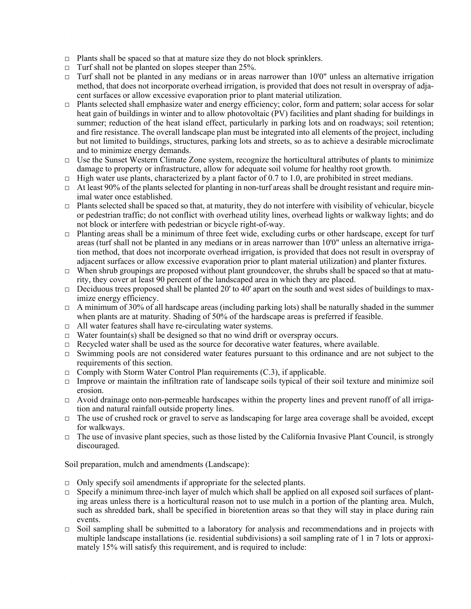- $\Box$  Plants shall be spaced so that at mature size they do not block sprinklers.
- $\Box$  Turf shall not be planted on slopes steeper than 25%.
- $\Box$  Turf shall not be planted in any medians or in areas narrower than 10'0" unless an alternative irrigation method, that does not incorporate overhead irrigation, is provided that does not result in overspray of adjacent surfaces or allow excessive evaporation prior to plant material utilization.
- □ Plants selected shall emphasize water and energy efficiency; color, form and pattern; solar access for solar heat gain of buildings in winter and to allow photovoltaic (PV) facilities and plant shading for buildings in summer; reduction of the heat island effect, particularly in parking lots and on roadways; soil retention; and fire resistance. The overall landscape plan must be integrated into all elements of the project, including but not limited to buildings, structures, parking lots and streets, so as to achieve a desirable microclimate and to minimize energy demands.
- $\Box$  Use the Sunset Western Climate Zone system, recognize the horticultural attributes of plants to minimize damage to property or infrastructure, allow for adequate soil volume for healthy root growth.
- $\Box$  High water use plants, characterized by a plant factor of 0.7 to 1.0, are prohibited in street medians.
- $\Box$  At least 90% of the plants selected for planting in non-turf areas shall be drought resistant and require minimal water once established.
- $\Box$  Plants selected shall be spaced so that, at maturity, they do not interfere with visibility of vehicular, bicycle or pedestrian traffic; do not conflict with overhead utility lines, overhead lights or walkway lights; and do not block or interfere with pedestrian or bicycle right-of-way.
- $\Box$  Planting areas shall be a minimum of three feet wide, excluding curbs or other hardscape, except for turf areas (turf shall not be planted in any medians or in areas narrower than 10'0" unless an alternative irrigation method, that does not incorporate overhead irrigation, is provided that does not result in overspray of adjacent surfaces or allow excessive evaporation prior to plant material utilization) and planter fixtures.
- $\Box$  When shrub groupings are proposed without plant groundcover, the shrubs shall be spaced so that at maturity, they cover at least 90 percent of the landscaped area in which they are placed.
- $\Box$  Deciduous trees proposed shall be planted 20' to 40' apart on the south and west sides of buildings to maximize energy efficiency.
- $\Box$  A minimum of 30% of all hardscape areas (including parking lots) shall be naturally shaded in the summer when plants are at maturity. Shading of 50% of the hardscape areas is preferred if feasible.
- □ All water features shall have re-circulating water systems.
- $\Box$  Water fountain(s) shall be designed so that no wind drift or overspray occurs.
- $\Box$  Recycled water shall be used as the source for decorative water features, where available.
- □ Swimming pools are not considered water features pursuant to this ordinance and are not subject to the requirements of this section.
- $\Box$  Comply with Storm Water Control Plan requirements (C.3), if applicable.
- $\Box$  Improve or maintain the infiltration rate of landscape soils typical of their soil texture and minimize soil erosion.
- $\Box$  Avoid drainage onto non-permeable hardscapes within the property lines and prevent runoff of all irrigation and natural rainfall outside property lines.
- □ The use of crushed rock or gravel to serve as landscaping for large area coverage shall be avoided, except for walkways.
- $\Box$  The use of invasive plant species, such as those listed by the California Invasive Plant Council, is strongly discouraged.

Soil preparation, mulch and amendments (Landscape):

- $\Box$  Only specify soil amendments if appropriate for the selected plants.
- $\Box$  Specify a minimum three-inch layer of mulch which shall be applied on all exposed soil surfaces of planting areas unless there is a horticultural reason not to use mulch in a portion of the planting area. Mulch, such as shredded bark, shall be specified in bioretention areas so that they will stay in place during rain events.
- $\Box$  Soil sampling shall be submitted to a laboratory for analysis and recommendations and in projects with multiple landscape installations (ie. residential subdivisions) a soil sampling rate of 1 in 7 lots or approximately 15% will satisfy this requirement, and is required to include: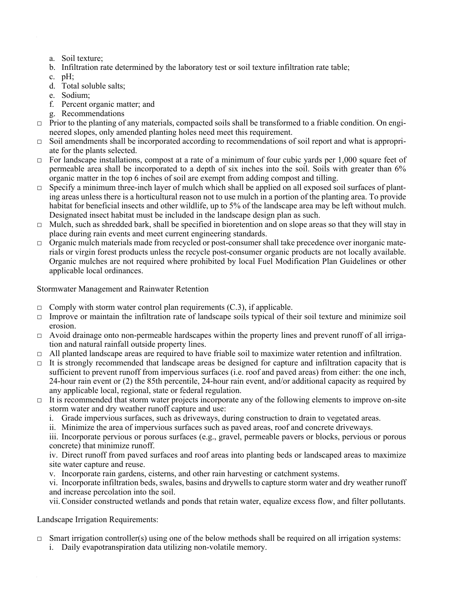- a. Soil texture;
- b. Infiltration rate determined by the laboratory test or soil texture infiltration rate table;
- c.  $pH$ ;
- d. Total soluble salts;
- e. Sodium;
- f. Percent organic matter; and
- g. Recommendations
- □ Prior to the planting of any materials, compacted soils shall be transformed to a friable condition. On engineered slopes, only amended planting holes need meet this requirement.
- $\Box$  Soil amendments shall be incorporated according to recommendations of soil report and what is appropriate for the plants selected.
- $\Box$  For landscape installations, compost at a rate of a minimum of four cubic yards per 1,000 square feet of permeable area shall be incorporated to a depth of six inches into the soil. Soils with greater than 6% organic matter in the top 6 inches of soil are exempt from adding compost and tilling.
- $\Box$  Specify a minimum three-inch layer of mulch which shall be applied on all exposed soil surfaces of planting areas unless there is a horticultural reason not to use mulch in a portion of the planting area. To provide habitat for beneficial insects and other wildlife, up to 5% of the landscape area may be left without mulch. Designated insect habitat must be included in the landscape design plan as such.
- □ Mulch, such as shredded bark, shall be specified in bioretention and on slope areas so that they will stay in place during rain events and meet current engineering standards.
- $\Box$  Organic mulch materials made from recycled or post-consumer shall take precedence over inorganic materials or virgin forest products unless the recycle post-consumer organic products are not locally available. Organic mulches are not required where prohibited by local Fuel Modification Plan Guidelines or other applicable local ordinances.

Stormwater Management and Rainwater Retention

- $\Box$  Comply with storm water control plan requirements (C.3), if applicable.
- □ Improve or maintain the infiltration rate of landscape soils typical of their soil texture and minimize soil erosion.
- $\Box$  Avoid drainage onto non-permeable hardscapes within the property lines and prevent runoff of all irrigation and natural rainfall outside property lines.
- $\Box$  All planted landscape areas are required to have friable soil to maximize water retention and infiltration.
- $\Box$  It is strongly recommended that landscape areas be designed for capture and infiltration capacity that is sufficient to prevent runoff from impervious surfaces (i.e. roof and paved areas) from either: the one inch, 24-hour rain event or (2) the 85th percentile, 24-hour rain event, and/or additional capacity as required by any applicable local, regional, state or federal regulation.
- $\Box$  It is recommended that storm water projects incorporate any of the following elements to improve on-site storm water and dry weather runoff capture and use:
	- i. Grade impervious surfaces, such as driveways, during construction to drain to vegetated areas.
	- ii. Minimize the area of impervious surfaces such as paved areas, roof and concrete driveways.

iii. Incorporate pervious or porous surfaces (e.g., gravel, permeable pavers or blocks, pervious or porous concrete) that minimize runoff.

iv. Direct runoff from paved surfaces and roof areas into planting beds or landscaped areas to maximize site water capture and reuse.

v. Incorporate rain gardens, cisterns, and other rain harvesting or catchment systems.

vi. Incorporate infiltration beds, swales, basins and drywells to capture storm water and dry weather runoff and increase percolation into the soil.

vii. Consider constructed wetlands and ponds that retain water, equalize excess flow, and filter pollutants.

Landscape Irrigation Requirements:

- $\Box$  Smart irrigation controller(s) using one of the below methods shall be required on all irrigation systems:
	- i. Daily evapotranspiration data utilizing non-volatile memory.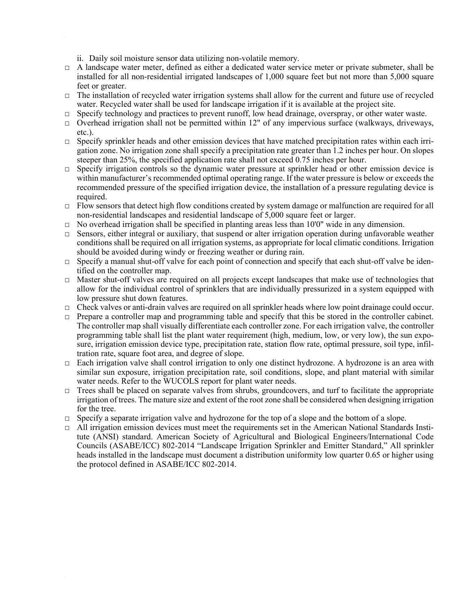- ii. Daily soil moisture sensor data utilizing non-volatile memory.
- □ A landscape water meter, defined as either a dedicated water service meter or private submeter, shall be installed for all non-residential irrigated landscapes of 1,000 square feet but not more than 5,000 square feet or greater.
- $\Box$  The installation of recycled water irrigation systems shall allow for the current and future use of recycled water. Recycled water shall be used for landscape irrigation if it is available at the project site.
- □ Specify technology and practices to prevent runoff, low head drainage, overspray, or other water waste.
- □ Overhead irrigation shall not be permitted within 12" of any impervious surface (walkways, driveways, etc.).
- $\Box$  Specify sprinkler heads and other emission devices that have matched precipitation rates within each irrigation zone. No irrigation zone shall specify a precipitation rate greater than 1.2 inches per hour. On slopes steeper than 25%, the specified application rate shall not exceed 0.75 inches per hour.
- □ Specify irrigation controls so the dynamic water pressure at sprinkler head or other emission device is within manufacturer's recommended optimal operating range. If the water pressure is below or exceeds the recommended pressure of the specified irrigation device, the installation of a pressure regulating device is required.
- □ Flow sensors that detect high flow conditions created by system damage or malfunction are required for all non-residential landscapes and residential landscape of 5,000 square feet or larger.
- $\Box$  No overhead irrigation shall be specified in planting areas less than 10'0" wide in any dimension.
- $\Box$  Sensors, either integral or auxiliary, that suspend or alter irrigation operation during unfavorable weather conditions shall be required on all irrigation systems, as appropriate for local climatic conditions. Irrigation should be avoided during windy or freezing weather or during rain.
- $\Box$  Specify a manual shut-off valve for each point of connection and specify that each shut-off valve be identified on the controller map.
- $\Box$  Master shut-off valves are required on all projects except landscapes that make use of technologies that allow for the individual control of sprinklers that are individually pressurized in a system equipped with low pressure shut down features.
- $\Box$  Check valves or anti-drain valves are required on all sprinkler heads where low point drainage could occur.
- $\Box$  Prepare a controller map and programming table and specify that this be stored in the controller cabinet. The controller map shall visually differentiate each controller zone. For each irrigation valve, the controller programming table shall list the plant water requirement (high, medium, low, or very low), the sun exposure, irrigation emission device type, precipitation rate, station flow rate, optimal pressure, soil type, infiltration rate, square foot area, and degree of slope.
- $\Box$  Each irrigation valve shall control irrigation to only one distinct hydrozone. A hydrozone is an area with similar sun exposure, irrigation precipitation rate, soil conditions, slope, and plant material with similar water needs. Refer to the WUCOLS report for plant water needs.
- $\Box$  Trees shall be placed on separate valves from shrubs, groundcovers, and turf to facilitate the appropriate irrigation of trees. The mature size and extent of the root zone shall be considered when designing irrigation for the tree.
- □ Specify a separate irrigation valve and hydrozone for the top of a slope and the bottom of a slope.
- $\Box$  All irrigation emission devices must meet the requirements set in the American National Standards Institute (ANSI) standard. American Society of Agricultural and Biological Engineers/International Code Councils (ASABE/ICC) 802-2014 "Landscape Irrigation Sprinkler and Emitter Standard," All sprinkler heads installed in the landscape must document a distribution uniformity low quarter 0.65 or higher using the protocol defined in ASABE/ICC 802-2014.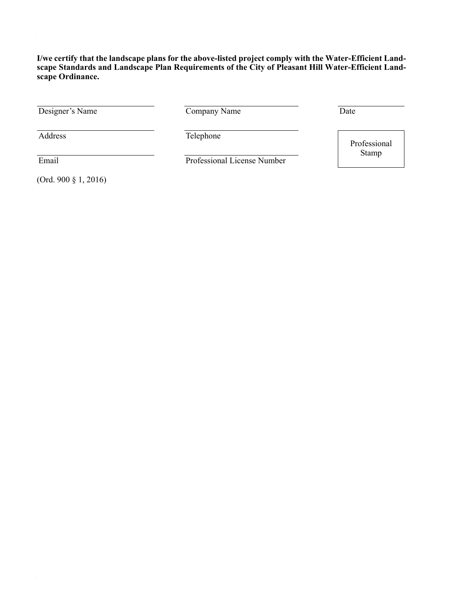**I/we certify that the landscape plans for the above-listed project comply with the Water-Efficient Landscape Standards and Landscape Plan Requirements of the City of Pleasant Hill Water-Efficient Landscape Ordinance.**

Designer's Name Company Name Date

Address Telephone

 $\epsilon$ 

 $\hat{\psi}$ 

Email Professional License Number

Professional Stamp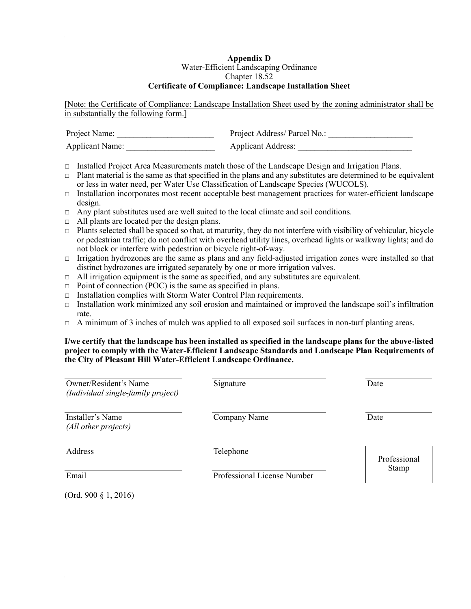#### **Appendix D** Water-Efficient Landscaping Ordinance Chapter 18.52 **Certificate of Compliance: Landscape Installation Sheet**

[Note: the Certificate of Compliance: Landscape Installation Sheet used by the zoning administrator shall be in substantially the following form.]

| Project Name:          | Project Address/ Parcel No.: |
|------------------------|------------------------------|
| <b>Applicant Name:</b> | <b>Applicant Address:</b>    |

- $\Box$  Installed Project Area Measurements match those of the Landscape Design and Irrigation Plans.
- $\Box$  Plant material is the same as that specified in the plans and any substitutes are determined to be equivalent or less in water need, per Water Use Classification of Landscape Species (WUCOLS).
- $\Box$  Installation incorporates most recent acceptable best management practices for water-efficient landscape design.
- $\Box$  Any plant substitutes used are well suited to the local climate and soil conditions.
- $\Box$  All plants are located per the design plans.
- $\Box$  Plants selected shall be spaced so that, at maturity, they do not interfere with visibility of vehicular, bicycle or pedestrian traffic; do not conflict with overhead utility lines, overhead lights or walkway lights; and do not block or interfere with pedestrian or bicycle right-of-way.
- $\Box$  Irrigation hydrozones are the same as plans and any field-adjusted irrigation zones were installed so that distinct hydrozones are irrigated separately by one or more irrigation valves.
- $\Box$  All irrigation equipment is the same as specified, and any substitutes are equivalent.
- $\Box$  Point of connection (POC) is the same as specified in plans.
- $\Box$  Installation complies with Storm Water Control Plan requirements.
- $\Box$  Installation work minimized any soil erosion and maintained or improved the landscape soil's infiltration rate.
- $\Box$  A minimum of 3 inches of mulch was applied to all exposed soil surfaces in non-turf planting areas.

#### **I/we certify that the landscape has been installed as specified in the landscape plans for the above-listed project to comply with the Water-Efficient Landscape Standards and Landscape Plan Requirements of the City of Pleasant Hill Water-Efficient Landscape Ordinance.**

| Owner/Resident's Name<br>(Individual single-family project) | Signature                   | Date         |
|-------------------------------------------------------------|-----------------------------|--------------|
| Installer's Name<br>(All other projects)                    | Company Name                | Date         |
| Address                                                     | Telephone                   | Professional |
| Email                                                       | Professional License Number | <b>Stamp</b> |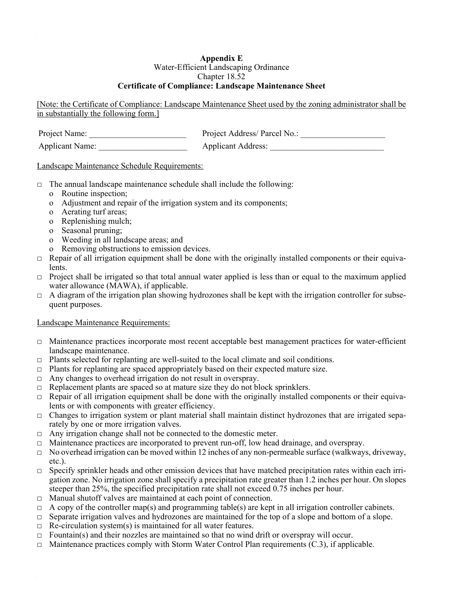## **Appendix E**

#### Water-Efficient Landscaping Ordinance

#### Chapter 18.52

## **Certificate of Compliance: Landscape Maintenance Sheet**

[Note: the Certificate of Compliance: Landscape Maintenance Sheet used by the zoning administrator shall be in substantially the following form.]

| Project Name:          | Project Address/ Parcel No.: |
|------------------------|------------------------------|
| <b>Applicant Name:</b> | <b>Applicant Address:</b>    |

## Landscape Maintenance Schedule Requirements:

- $\Box$  The annual landscape maintenance schedule shall include the following:
	- o Routine inspection;
	- o Adjustment and repair of the irrigation system and its components;
	- o Aerating turf areas;
	- o Replenishing mulch;
	- o Seasonal pruning;
	- o Weeding in all landscape areas; and
	- o Removing obstructions to emission devices.
- $\Box$  Repair of all irrigation equipment shall be done with the originally installed components or their equivalents.
- $\Box$  Project shall be irrigated so that total annual water applied is less than or equal to the maximum applied water allowance (MAWA), if applicable.
- $\Box$  A diagram of the irrigation plan showing hydrozones shall be kept with the irrigation controller for subsequent purposes.

## Landscape Maintenance Requirements:

- $\Box$  Maintenance practices incorporate most recent acceptable best management practices for water-efficient landscape maintenance.
- $\Box$  Plants selected for replanting are well-suited to the local climate and soil conditions.
- $\Box$  Plants for replanting are spaced appropriately based on their expected mature size.
- $\Box$  Any changes to overhead irrigation do not result in overspray.
- $\Box$  Replacement plants are spaced so at mature size they do not block sprinklers.
- $\Box$  Repair of all irrigation equipment shall be done with the originally installed components or their equivalents or with components with greater efficiency.
- □ Changes to irrigation system or plant material shall maintain distinct hydrozones that are irrigated separately by one or more irrigation valves.
- $\Box$  Any irrigation change shall not be connected to the domestic meter.
- $\Box$  Maintenance practices are incorporated to prevent run-off, low head drainage, and overspray.
- $\Box$  No overhead irrigation can be moved within 12 inches of any non-permeable surface (walkways, driveway, etc.).
- $\Box$  Specify sprinkler heads and other emission devices that have matched precipitation rates within each irrigation zone. No irrigation zone shall specify a precipitation rate greater than 1.2 inches per hour. On slopes steeper than 25%, the specified precipitation rate shall not exceed 0.75 inches per hour.
- $\Box$  Manual shutoff valves are maintained at each point of connection.
- $\Box$  A copy of the controller map(s) and programming table(s) are kept in all irrigation controller cabinets.
- $\Box$  Separate irrigation valves and hydrozones are maintained for the top of a slope and bottom of a slope.
- $\Box$  Re-circulation system(s) is maintained for all water features.
- $\Box$  Fountain(s) and their nozzles are maintained so that no wind drift or overspray will occur.
- $\Box$  Maintenance practices comply with Storm Water Control Plan requirements (C.3), if applicable.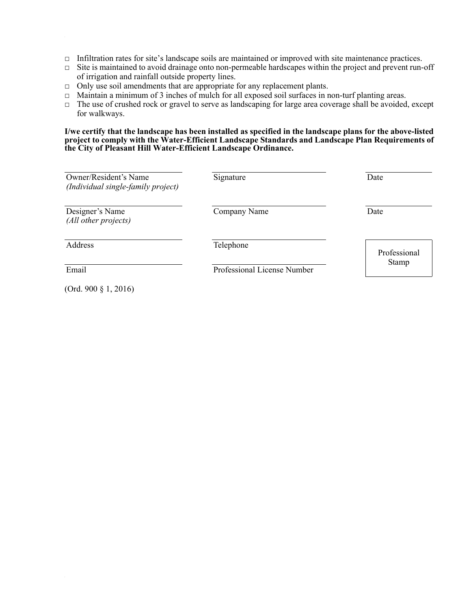- □ Infiltration rates for site's landscape soils are maintained or improved with site maintenance practices.
- □ Site is maintained to avoid drainage onto non-permeable hardscapes within the project and prevent run-off of irrigation and rainfall outside property lines.
- □ Only use soil amendments that are appropriate for any replacement plants.
- $\Box$  Maintain a minimum of 3 inches of mulch for all exposed soil surfaces in non-turf planting areas.
- □ The use of crushed rock or gravel to serve as landscaping for large area coverage shall be avoided, except for walkways.

#### **I/we certify that the landscape has been installed as specified in the landscape plans for the above-listed project to comply with the Water-Efficient Landscape Standards and Landscape Plan Requirements of the City of Pleasant Hill Water-Efficient Landscape Ordinance.**

| Owner/Resident's Name<br>(Individual single-family project) | Signature                   | Date         |
|-------------------------------------------------------------|-----------------------------|--------------|
| Designer's Name<br>(All other projects)                     | Company Name                | Date         |
| Address                                                     | Telephone                   | Professional |
| Email                                                       | Professional License Number | <b>Stamp</b> |
| (Ord. 900 $\S$ 1, 2016)                                     |                             |              |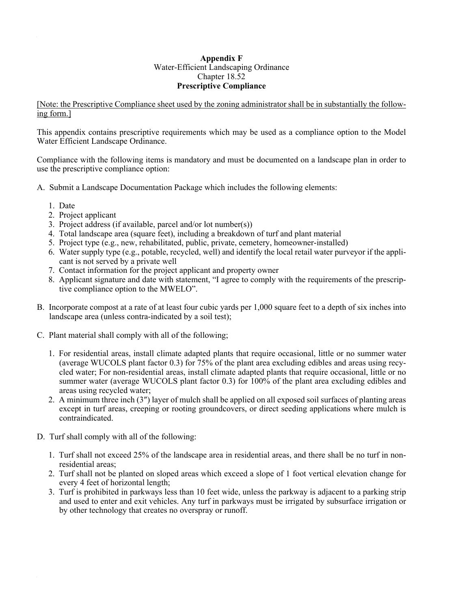#### **Appendix F** Water-Efficient Landscaping Ordinance Chapter 18.52 **Prescriptive Compliance**

[Note: the Prescriptive Compliance sheet used by the zoning administrator shall be in substantially the following form.]

This appendix contains prescriptive requirements which may be used as a compliance option to the Model Water Efficient Landscape Ordinance.

Compliance with the following items is mandatory and must be documented on a landscape plan in order to use the prescriptive compliance option:

- A. Submit a Landscape Documentation Package which includes the following elements:
	- 1. Date
	- 2. Project applicant
	- 3. Project address (if available, parcel and/or lot number(s))
	- 4. Total landscape area (square feet), including a breakdown of turf and plant material
	- 5. Project type (e.g., new, rehabilitated, public, private, cemetery, homeowner-installed)
	- 6. Water supply type (e.g., potable, recycled, well) and identify the local retail water purveyor if the applicant is not served by a private well
	- 7. Contact information for the project applicant and property owner
	- 8. Applicant signature and date with statement, "I agree to comply with the requirements of the prescriptive compliance option to the MWELO".
- B. Incorporate compost at a rate of at least four cubic yards per 1,000 square feet to a depth of six inches into landscape area (unless contra-indicated by a soil test);
- C. Plant material shall comply with all of the following;
	- 1. For residential areas, install climate adapted plants that require occasional, little or no summer water (average WUCOLS plant factor 0.3) for 75% of the plant area excluding edibles and areas using recycled water; For non-residential areas, install climate adapted plants that require occasional, little or no summer water (average WUCOLS plant factor 0.3) for 100% of the plant area excluding edibles and areas using recycled water;
	- 2. A minimum three inch (3″) layer of mulch shall be applied on all exposed soil surfaces of planting areas except in turf areas, creeping or rooting groundcovers, or direct seeding applications where mulch is contraindicated.
- D. Turf shall comply with all of the following:
	- 1. Turf shall not exceed 25% of the landscape area in residential areas, and there shall be no turf in nonresidential areas;
	- 2. Turf shall not be planted on sloped areas which exceed a slope of 1 foot vertical elevation change for every 4 feet of horizontal length;
	- 3. Turf is prohibited in parkways less than 10 feet wide, unless the parkway is adjacent to a parking strip and used to enter and exit vehicles. Any turf in parkways must be irrigated by subsurface irrigation or by other technology that creates no overspray or runoff.